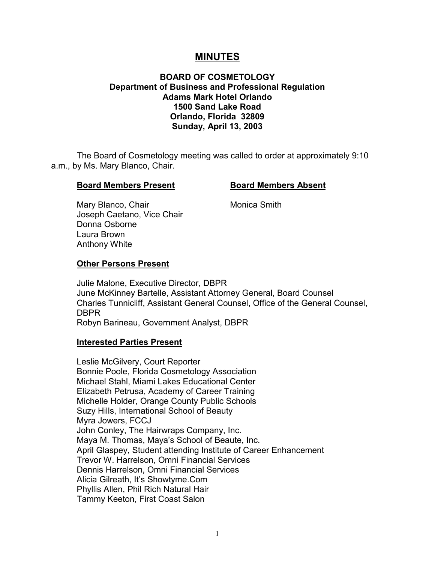# **MINUTES**

#### **BOARD OF COSMETOLOGY Department of Business and Professional Regulation Adams Mark Hotel Orlando 1500 Sand Lake Road Orlando, Florida 32809 Sunday, April 13, 2003**

The Board of Cosmetology meeting was called to order at approximately 9:10 a.m., by Ms. Mary Blanco, Chair.

#### **Board Members Present Board Members Absent**

Mary Blanco, Chair **Monica Smith** Joseph Caetano, Vice Chair Donna Osborne Laura Brown Anthony White

#### **Other Persons Present**

Julie Malone, Executive Director, DBPR June McKinney Bartelle, Assistant Attorney General, Board Counsel Charles Tunnicliff, Assistant General Counsel, Office of the General Counsel, DBPR Robyn Barineau, Government Analyst, DBPR

#### **Interested Parties Present**

Leslie McGilvery, Court Reporter Bonnie Poole, Florida Cosmetology Association Michael Stahl, Miami Lakes Educational Center Elizabeth Petrusa, Academy of Career Training Michelle Holder, Orange County Public Schools Suzy Hills, International School of Beauty Myra Jowers, FCCJ John Conley, The Hairwraps Company, Inc. Maya M. Thomas, Maya's School of Beaute, Inc. April Glaspey, Student attending Institute of Career Enhancement Trevor W. Harrelson, Omni Financial Services Dennis Harrelson, Omni Financial Services Alicia Gilreath, It's Showtyme.Com Phyllis Allen, Phil Rich Natural Hair Tammy Keeton, First Coast Salon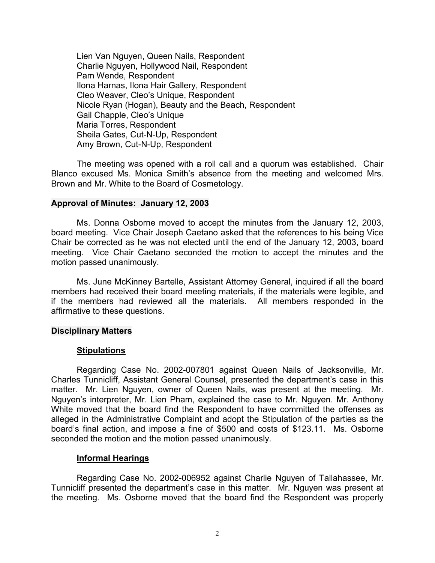Lien Van Nguyen, Queen Nails, Respondent Charlie Nguyen, Hollywood Nail, Respondent Pam Wende, Respondent Ilona Harnas, Ilona Hair Gallery, Respondent Cleo Weaver, Cleo's Unique, Respondent Nicole Ryan (Hogan), Beauty and the Beach, Respondent Gail Chapple, Cleo's Unique Maria Torres, Respondent Sheila Gates, Cut-N-Up, Respondent Amy Brown, Cut-N-Up, Respondent

The meeting was opened with a roll call and a quorum was established. Chair Blanco excused Ms. Monica Smith's absence from the meeting and welcomed Mrs. Brown and Mr. White to the Board of Cosmetology.

#### **Approval of Minutes: January 12, 2003**

Ms. Donna Osborne moved to accept the minutes from the January 12, 2003, board meeting. Vice Chair Joseph Caetano asked that the references to his being Vice Chair be corrected as he was not elected until the end of the January 12, 2003, board meeting. Vice Chair Caetano seconded the motion to accept the minutes and the motion passed unanimously.

Ms. June McKinney Bartelle, Assistant Attorney General, inquired if all the board members had received their board meeting materials, if the materials were legible, and if the members had reviewed all the materials. All members responded in the affirmative to these questions.

#### **Disciplinary Matters**

#### **Stipulations**

Regarding Case No. 2002-007801 against Queen Nails of Jacksonville, Mr. Charles Tunnicliff, Assistant General Counsel, presented the department's case in this matter. Mr. Lien Nguyen, owner of Queen Nails, was present at the meeting. Mr. Nguyen's interpreter, Mr. Lien Pham, explained the case to Mr. Nguyen. Mr. Anthony White moved that the board find the Respondent to have committed the offenses as alleged in the Administrative Complaint and adopt the Stipulation of the parties as the board's final action, and impose a fine of \$500 and costs of \$123.11. Ms. Osborne seconded the motion and the motion passed unanimously.

#### **Informal Hearings**

Regarding Case No. 2002-006952 against Charlie Nguyen of Tallahassee, Mr. Tunnicliff presented the department's case in this matter. Mr. Nguyen was present at the meeting. Ms. Osborne moved that the board find the Respondent was properly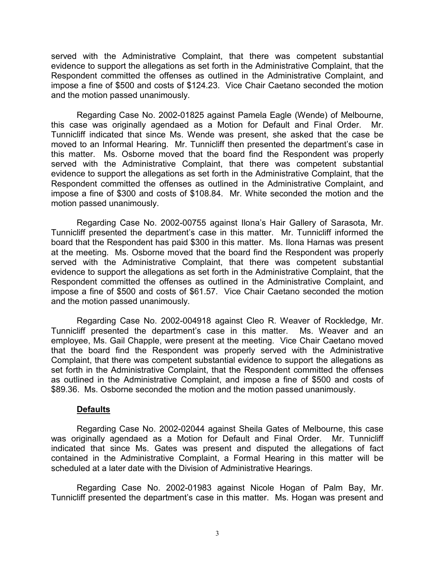served with the Administrative Complaint, that there was competent substantial evidence to support the allegations as set forth in the Administrative Complaint, that the Respondent committed the offenses as outlined in the Administrative Complaint, and impose a fine of \$500 and costs of \$124.23. Vice Chair Caetano seconded the motion and the motion passed unanimously.

Regarding Case No. 2002-01825 against Pamela Eagle (Wende) of Melbourne, this case was originally agendaed as a Motion for Default and Final Order. Mr. Tunnicliff indicated that since Ms. Wende was present, she asked that the case be moved to an Informal Hearing. Mr. Tunnicliff then presented the department's case in this matter. Ms. Osborne moved that the board find the Respondent was properly served with the Administrative Complaint, that there was competent substantial evidence to support the allegations as set forth in the Administrative Complaint, that the Respondent committed the offenses as outlined in the Administrative Complaint, and impose a fine of \$300 and costs of \$108.84. Mr. White seconded the motion and the motion passed unanimously.

Regarding Case No. 2002-00755 against Ilona's Hair Gallery of Sarasota, Mr. Tunnicliff presented the department's case in this matter. Mr. Tunnicliff informed the board that the Respondent has paid \$300 in this matter. Ms. Ilona Harnas was present at the meeting. Ms. Osborne moved that the board find the Respondent was properly served with the Administrative Complaint, that there was competent substantial evidence to support the allegations as set forth in the Administrative Complaint, that the Respondent committed the offenses as outlined in the Administrative Complaint, and impose a fine of \$500 and costs of \$61.57. Vice Chair Caetano seconded the motion and the motion passed unanimously.

Regarding Case No. 2002-004918 against Cleo R. Weaver of Rockledge, Mr. Tunnicliff presented the department's case in this matter. Ms. Weaver and an employee, Ms. Gail Chapple, were present at the meeting. Vice Chair Caetano moved that the board find the Respondent was properly served with the Administrative Complaint, that there was competent substantial evidence to support the allegations as set forth in the Administrative Complaint, that the Respondent committed the offenses as outlined in the Administrative Complaint, and impose a fine of \$500 and costs of \$89.36. Ms. Osborne seconded the motion and the motion passed unanimously.

#### **Defaults**

Regarding Case No. 2002-02044 against Sheila Gates of Melbourne, this case was originally agendaed as a Motion for Default and Final Order. Mr. Tunnicliff indicated that since Ms. Gates was present and disputed the allegations of fact contained in the Administrative Complaint, a Formal Hearing in this matter will be scheduled at a later date with the Division of Administrative Hearings.

Regarding Case No. 2002-01983 against Nicole Hogan of Palm Bay, Mr. Tunnicliff presented the department's case in this matter. Ms. Hogan was present and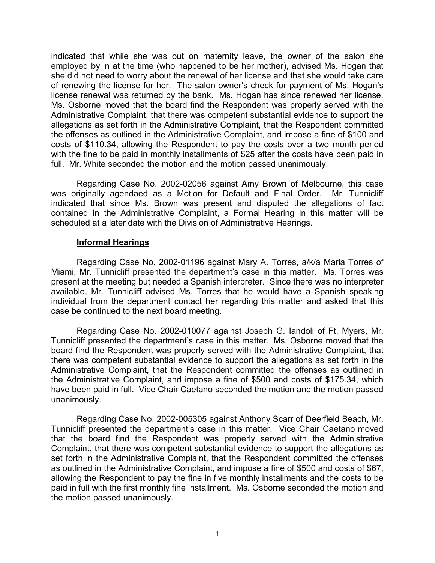indicated that while she was out on maternity leave, the owner of the salon she employed by in at the time (who happened to be her mother), advised Ms. Hogan that she did not need to worry about the renewal of her license and that she would take care of renewing the license for her. The salon owner's check for payment of Ms. Hogan's license renewal was returned by the bank. Ms. Hogan has since renewed her license. Ms. Osborne moved that the board find the Respondent was properly served with the Administrative Complaint, that there was competent substantial evidence to support the allegations as set forth in the Administrative Complaint, that the Respondent committed the offenses as outlined in the Administrative Complaint, and impose a fine of \$100 and costs of \$110.34, allowing the Respondent to pay the costs over a two month period with the fine to be paid in monthly installments of \$25 after the costs have been paid in full. Mr. White seconded the motion and the motion passed unanimously.

Regarding Case No. 2002-02056 against Amy Brown of Melbourne, this case was originally agendaed as a Motion for Default and Final Order. Mr. Tunnicliff indicated that since Ms. Brown was present and disputed the allegations of fact contained in the Administrative Complaint, a Formal Hearing in this matter will be scheduled at a later date with the Division of Administrative Hearings.

#### **Informal Hearings**

Regarding Case No. 2002-01196 against Mary A. Torres, a/k/a Maria Torres of Miami, Mr. Tunnicliff presented the department's case in this matter. Ms. Torres was present at the meeting but needed a Spanish interpreter. Since there was no interpreter available, Mr. Tunnicliff advised Ms. Torres that he would have a Spanish speaking individual from the department contact her regarding this matter and asked that this case be continued to the next board meeting.

Regarding Case No. 2002-010077 against Joseph G. Iandoli of Ft. Myers, Mr. Tunnicliff presented the department's case in this matter. Ms. Osborne moved that the board find the Respondent was properly served with the Administrative Complaint, that there was competent substantial evidence to support the allegations as set forth in the Administrative Complaint, that the Respondent committed the offenses as outlined in the Administrative Complaint, and impose a fine of \$500 and costs of \$175.34, which have been paid in full. Vice Chair Caetano seconded the motion and the motion passed unanimously.

Regarding Case No. 2002-005305 against Anthony Scarr of Deerfield Beach, Mr. Tunnicliff presented the department's case in this matter. Vice Chair Caetano moved that the board find the Respondent was properly served with the Administrative Complaint, that there was competent substantial evidence to support the allegations as set forth in the Administrative Complaint, that the Respondent committed the offenses as outlined in the Administrative Complaint, and impose a fine of \$500 and costs of \$67, allowing the Respondent to pay the fine in five monthly installments and the costs to be paid in full with the first monthly fine installment. Ms. Osborne seconded the motion and the motion passed unanimously.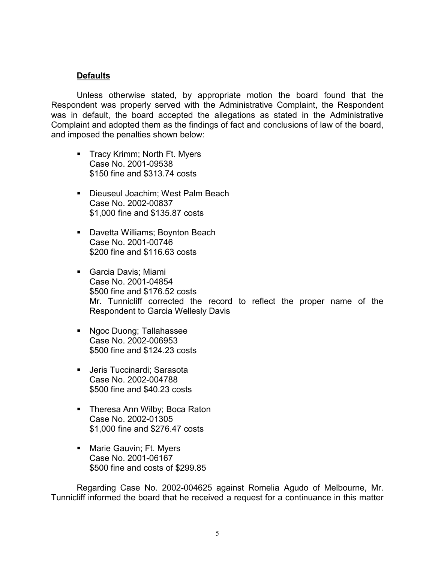# **Defaults**

Unless otherwise stated, by appropriate motion the board found that the Respondent was properly served with the Administrative Complaint, the Respondent was in default, the board accepted the allegations as stated in the Administrative Complaint and adopted them as the findings of fact and conclusions of law of the board, and imposed the penalties shown below:

- **Tracy Krimm; North Ft. Myers** Case No. 2001-09538 \$150 fine and \$313.74 costs
- **Dieuseul Joachim; West Palm Beach** Case No. 2002-00837 \$1,000 fine and \$135.87 costs
- **Davetta Williams; Boynton Beach** Case No. 2001-00746 \$200 fine and \$116.63 costs
- Garcia Davis; Miami Case No. 2001-04854 \$500 fine and \$176.52 costs Mr. Tunnicliff corrected the record to reflect the proper name of the Respondent to Garcia Wellesly Davis
- **Ngoc Duong; Tallahassee** Case No. 2002-006953 \$500 fine and \$124.23 costs
- Jeris Tuccinardi; Sarasota Case No. 2002-004788 \$500 fine and \$40.23 costs
- **Theresa Ann Wilby; Boca Raton** Case No. 2002-01305 \$1,000 fine and \$276.47 costs
- **Narie Gauvin; Ft. Myers** Case No. 2001-06167 \$500 fine and costs of \$299.85

Regarding Case No. 2002-004625 against Romelia Agudo of Melbourne, Mr. Tunnicliff informed the board that he received a request for a continuance in this matter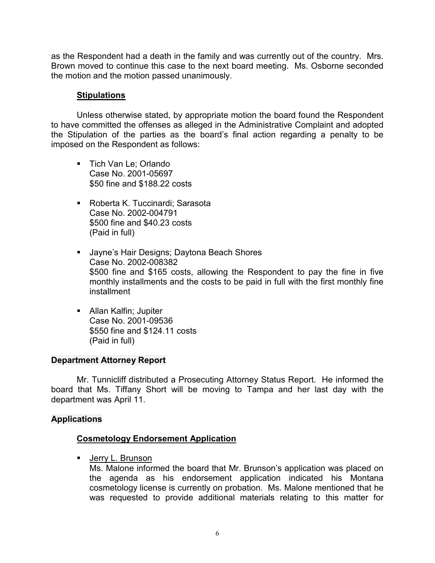as the Respondent had a death in the family and was currently out of the country. Mrs. Brown moved to continue this case to the next board meeting. Ms. Osborne seconded the motion and the motion passed unanimously.

# **Stipulations**

Unless otherwise stated, by appropriate motion the board found the Respondent to have committed the offenses as alleged in the Administrative Complaint and adopted the Stipulation of the parties as the board's final action regarding a penalty to be imposed on the Respondent as follows:

- **Tich Van Le; Orlando** Case No. 2001-05697 \$50 fine and \$188.22 costs
- Roberta K. Tuccinardi; Sarasota Case No. 2002-004791 \$500 fine and \$40.23 costs (Paid in full)
- **Jayne's Hair Designs; Daytona Beach Shores** Case No. 2002-008382 \$500 fine and \$165 costs, allowing the Respondent to pay the fine in five monthly installments and the costs to be paid in full with the first monthly fine installment
- **Allan Kalfin: Jupiter** Case No. 2001-09536 \$550 fine and \$124.11 costs (Paid in full)

# **Department Attorney Report**

Mr. Tunnicliff distributed a Prosecuting Attorney Status Report. He informed the board that Ms. Tiffany Short will be moving to Tampa and her last day with the department was April 11.

# **Applications**

# **Cosmetology Endorsement Application**

**Jerry L. Brunson** 

Ms. Malone informed the board that Mr. Brunson's application was placed on the agenda as his endorsement application indicated his Montana cosmetology license is currently on probation. Ms. Malone mentioned that he was requested to provide additional materials relating to this matter for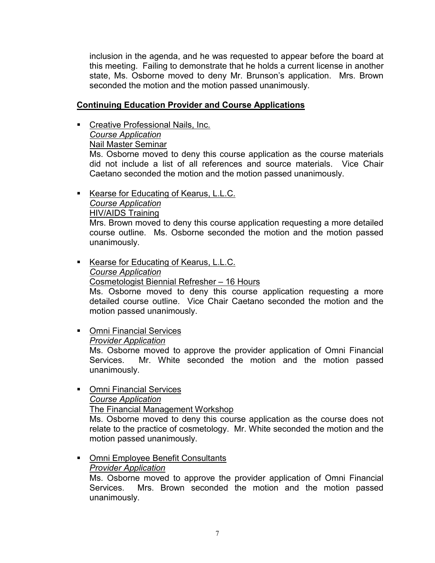inclusion in the agenda, and he was requested to appear before the board at this meeting. Failing to demonstrate that he holds a current license in another state, Ms. Osborne moved to deny Mr. Brunson's application. Mrs. Brown seconded the motion and the motion passed unanimously.

# **Continuing Education Provider and Course Applications**

**Creative Professional Nails, Inc.** 

*Course Application*

Nail Master Seminar

Ms. Osborne moved to deny this course application as the course materials did not include a list of all references and source materials. Vice Chair Caetano seconded the motion and the motion passed unanimously.

Kearse for Educating of Kearus, L.L.C.

# *Course Application*

HIV/AIDS Training

Mrs. Brown moved to deny this course application requesting a more detailed course outline. Ms. Osborne seconded the motion and the motion passed unanimously.

- Kearse for Educating of Kearus, L.L.C. *Course Application* Cosmetologist Biennial Refresher – 16 Hours Ms. Osborne moved to deny this course application requesting a more detailed course outline. Vice Chair Caetano seconded the motion and the motion passed unanimously.
- **Omni Financial Services**

*Provider Application*

Ms. Osborne moved to approve the provider application of Omni Financial Services. Mr. White seconded the motion and the motion passed unanimously.

# **Omni Financial Services**

*Course Application*

The Financial Management Workshop

Ms. Osborne moved to deny this course application as the course does not relate to the practice of cosmetology. Mr. White seconded the motion and the motion passed unanimously.

- **Omni Employee Benefit Consultants** 
	- *Provider Application*

Ms. Osborne moved to approve the provider application of Omni Financial Services. Mrs. Brown seconded the motion and the motion passed unanimously.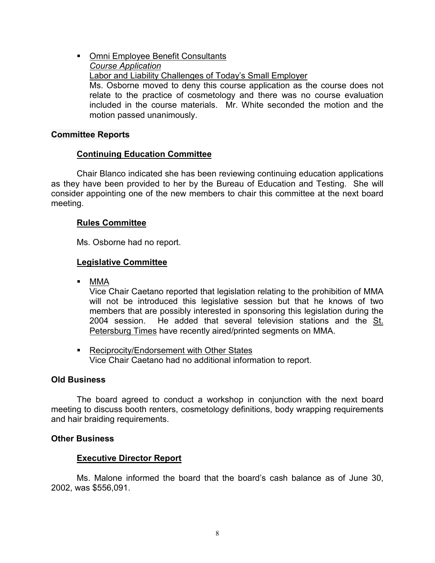**• Omni Employee Benefit Consultants** *Course Application* Labor and Liability Challenges of Today's Small Employer Ms. Osborne moved to deny this course application as the course does not relate to the practice of cosmetology and there was no course evaluation included in the course materials. Mr. White seconded the motion and the motion passed unanimously.

#### **Committee Reports**

#### **Continuing Education Committee**

Chair Blanco indicated she has been reviewing continuing education applications as they have been provided to her by the Bureau of Education and Testing. She will consider appointing one of the new members to chair this committee at the next board meeting.

#### **Rules Committee**

Ms. Osborne had no report.

#### **Legislative Committee**

MMA

Vice Chair Caetano reported that legislation relating to the prohibition of MMA will not be introduced this legislative session but that he knows of two members that are possibly interested in sponsoring this legislation during the 2004 session. He added that several television stations and the St. Petersburg Times have recently aired/printed segments on MMA.

■ Reciprocity/Endorsement with Other States Vice Chair Caetano had no additional information to report.

#### **Old Business**

The board agreed to conduct a workshop in conjunction with the next board meeting to discuss booth renters, cosmetology definitions, body wrapping requirements and hair braiding requirements.

#### **Other Business**

#### **Executive Director Report**

Ms. Malone informed the board that the board's cash balance as of June 30, 2002, was \$556,091.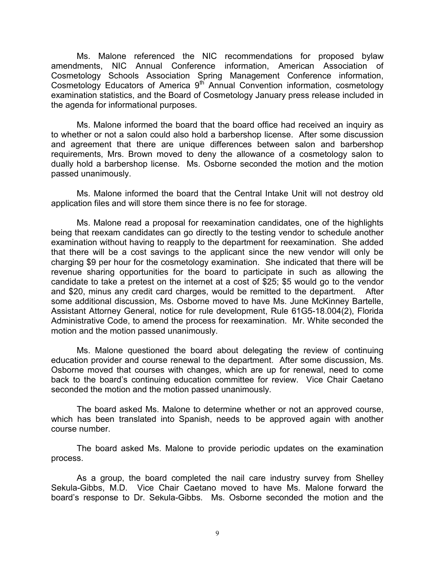Ms. Malone referenced the NIC recommendations for proposed bylaw amendments, NIC Annual Conference information, American Association of Cosmetology Schools Association Spring Management Conference information, Cosmetology Educators of America  $9<sup>th</sup>$  Annual Convention information, cosmetology examination statistics, and the Board of Cosmetology January press release included in the agenda for informational purposes.

Ms. Malone informed the board that the board office had received an inquiry as to whether or not a salon could also hold a barbershop license. After some discussion and agreement that there are unique differences between salon and barbershop requirements, Mrs. Brown moved to deny the allowance of a cosmetology salon to dually hold a barbershop license. Ms. Osborne seconded the motion and the motion passed unanimously.

Ms. Malone informed the board that the Central Intake Unit will not destroy old application files and will store them since there is no fee for storage.

Ms. Malone read a proposal for reexamination candidates, one of the highlights being that reexam candidates can go directly to the testing vendor to schedule another examination without having to reapply to the department for reexamination. She added that there will be a cost savings to the applicant since the new vendor will only be charging \$9 per hour for the cosmetology examination. She indicated that there will be revenue sharing opportunities for the board to participate in such as allowing the candidate to take a pretest on the internet at a cost of \$25; \$5 would go to the vendor and \$20, minus any credit card charges, would be remitted to the department. After some additional discussion, Ms. Osborne moved to have Ms. June McKinney Bartelle, Assistant Attorney General, notice for rule development, Rule 61G5-18.004(2), Florida Administrative Code, to amend the process for reexamination. Mr. White seconded the motion and the motion passed unanimously.

Ms. Malone questioned the board about delegating the review of continuing education provider and course renewal to the department. After some discussion, Ms. Osborne moved that courses with changes, which are up for renewal, need to come back to the board's continuing education committee for review. Vice Chair Caetano seconded the motion and the motion passed unanimously.

The board asked Ms. Malone to determine whether or not an approved course, which has been translated into Spanish, needs to be approved again with another course number.

The board asked Ms. Malone to provide periodic updates on the examination process.

As a group, the board completed the nail care industry survey from Shelley Sekula-Gibbs, M.D. Vice Chair Caetano moved to have Ms. Malone forward the board's response to Dr. Sekula-Gibbs. Ms. Osborne seconded the motion and the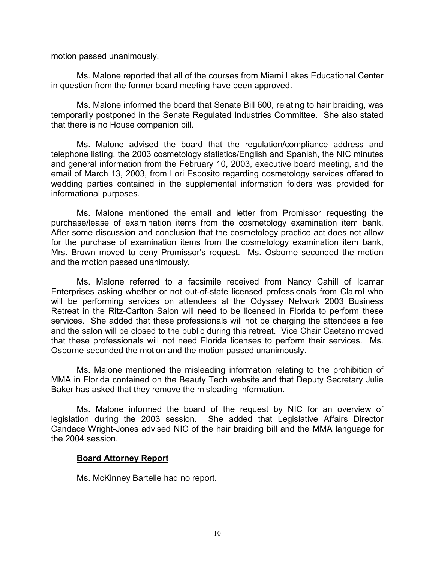motion passed unanimously.

Ms. Malone reported that all of the courses from Miami Lakes Educational Center in question from the former board meeting have been approved.

Ms. Malone informed the board that Senate Bill 600, relating to hair braiding, was temporarily postponed in the Senate Regulated Industries Committee. She also stated that there is no House companion bill.

Ms. Malone advised the board that the regulation/compliance address and telephone listing, the 2003 cosmetology statistics/English and Spanish, the NIC minutes and general information from the February 10, 2003, executive board meeting, and the email of March 13, 2003, from Lori Esposito regarding cosmetology services offered to wedding parties contained in the supplemental information folders was provided for informational purposes.

Ms. Malone mentioned the email and letter from Promissor requesting the purchase/lease of examination items from the cosmetology examination item bank. After some discussion and conclusion that the cosmetology practice act does not allow for the purchase of examination items from the cosmetology examination item bank, Mrs. Brown moved to deny Promissor's request. Ms. Osborne seconded the motion and the motion passed unanimously.

Ms. Malone referred to a facsimile received from Nancy Cahill of Idamar Enterprises asking whether or not out-of-state licensed professionals from Clairol who will be performing services on attendees at the Odyssey Network 2003 Business Retreat in the Ritz-Carlton Salon will need to be licensed in Florida to perform these services. She added that these professionals will not be charging the attendees a fee and the salon will be closed to the public during this retreat. Vice Chair Caetano moved that these professionals will not need Florida licenses to perform their services. Ms. Osborne seconded the motion and the motion passed unanimously.

Ms. Malone mentioned the misleading information relating to the prohibition of MMA in Florida contained on the Beauty Tech website and that Deputy Secretary Julie Baker has asked that they remove the misleading information.

Ms. Malone informed the board of the request by NIC for an overview of legislation during the 2003 session. She added that Legislative Affairs Director Candace Wright-Jones advised NIC of the hair braiding bill and the MMA language for the 2004 session.

# **Board Attorney Report**

Ms. McKinney Bartelle had no report.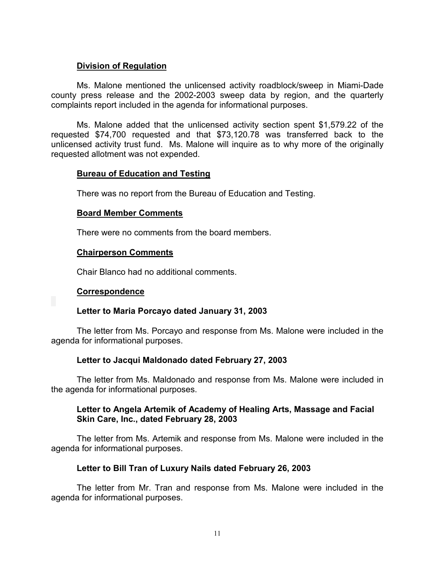# **Division of Regulation**

Ms. Malone mentioned the unlicensed activity roadblock/sweep in Miami-Dade county press release and the 2002-2003 sweep data by region, and the quarterly complaints report included in the agenda for informational purposes.

Ms. Malone added that the unlicensed activity section spent \$1,579.22 of the requested \$74,700 requested and that \$73,120.78 was transferred back to the unlicensed activity trust fund. Ms. Malone will inquire as to why more of the originally requested allotment was not expended.

# **Bureau of Education and Testing**

There was no report from the Bureau of Education and Testing.

#### **Board Member Comments**

There were no comments from the board members.

#### **Chairperson Comments**

Chair Blanco had no additional comments.

# **Correspondence**

# **Letter to Maria Porcayo dated January 31, 2003**

The letter from Ms. Porcayo and response from Ms. Malone were included in the agenda for informational purposes.

# **Letter to Jacqui Maldonado dated February 27, 2003**

The letter from Ms. Maldonado and response from Ms. Malone were included in the agenda for informational purposes.

# **Letter to Angela Artemik of Academy of Healing Arts, Massage and Facial Skin Care, Inc., dated February 28, 2003**

The letter from Ms. Artemik and response from Ms. Malone were included in the agenda for informational purposes.

# **Letter to Bill Tran of Luxury Nails dated February 26, 2003**

The letter from Mr. Tran and response from Ms. Malone were included in the agenda for informational purposes.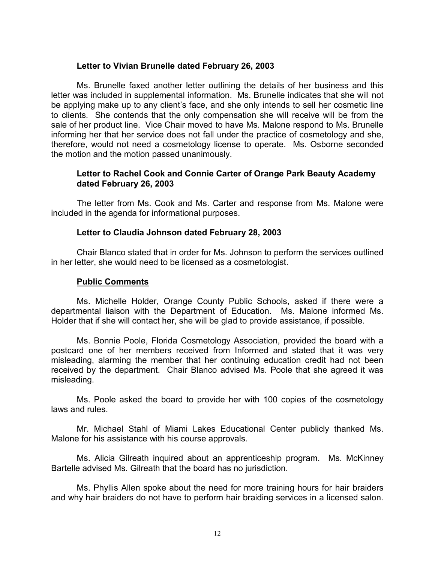#### **Letter to Vivian Brunelle dated February 26, 2003**

Ms. Brunelle faxed another letter outlining the details of her business and this letter was included in supplemental information. Ms. Brunelle indicates that she will not be applying make up to any client's face, and she only intends to sell her cosmetic line to clients. She contends that the only compensation she will receive will be from the sale of her product line. Vice Chair moved to have Ms. Malone respond to Ms. Brunelle informing her that her service does not fall under the practice of cosmetology and she, therefore, would not need a cosmetology license to operate. Ms. Osborne seconded the motion and the motion passed unanimously.

# **Letter to Rachel Cook and Connie Carter of Orange Park Beauty Academy dated February 26, 2003**

The letter from Ms. Cook and Ms. Carter and response from Ms. Malone were included in the agenda for informational purposes.

#### **Letter to Claudia Johnson dated February 28, 2003**

Chair Blanco stated that in order for Ms. Johnson to perform the services outlined in her letter, she would need to be licensed as a cosmetologist.

#### **Public Comments**

Ms. Michelle Holder, Orange County Public Schools, asked if there were a departmental liaison with the Department of Education. Ms. Malone informed Ms. Holder that if she will contact her, she will be glad to provide assistance, if possible.

Ms. Bonnie Poole, Florida Cosmetology Association, provided the board with a postcard one of her members received from Informed and stated that it was very misleading, alarming the member that her continuing education credit had not been received by the department. Chair Blanco advised Ms. Poole that she agreed it was misleading.

Ms. Poole asked the board to provide her with 100 copies of the cosmetology laws and rules.

Mr. Michael Stahl of Miami Lakes Educational Center publicly thanked Ms. Malone for his assistance with his course approvals.

Ms. Alicia Gilreath inquired about an apprenticeship program. Ms. McKinney Bartelle advised Ms. Gilreath that the board has no jurisdiction.

Ms. Phyllis Allen spoke about the need for more training hours for hair braiders and why hair braiders do not have to perform hair braiding services in a licensed salon.